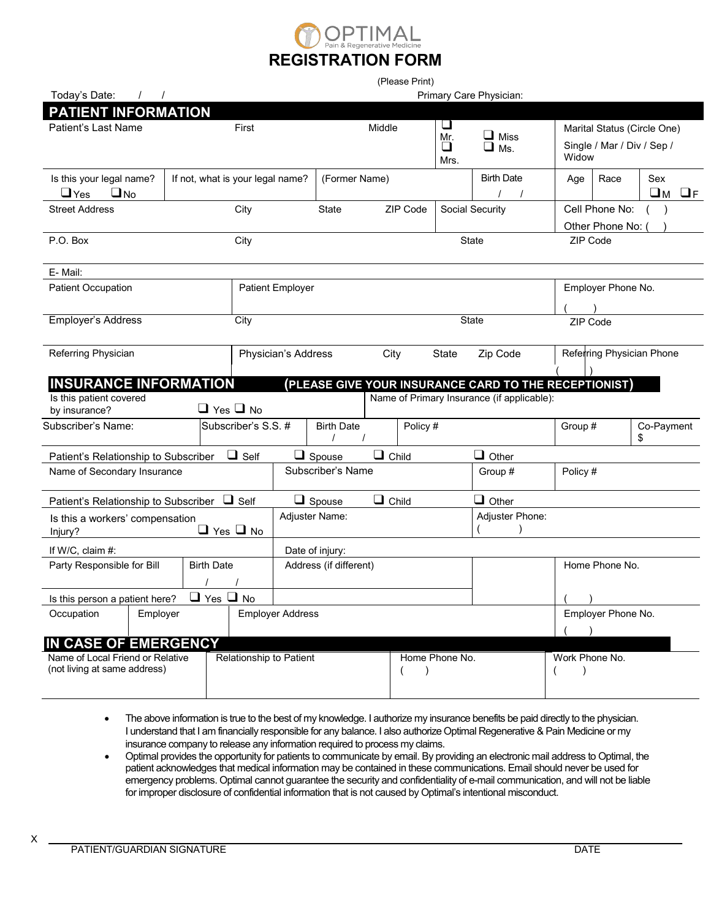

| (Please Print)                                                     |            |                                  |                                               |                         |                   |              |                             |                |                                                       |                             |                    |                                |  |
|--------------------------------------------------------------------|------------|----------------------------------|-----------------------------------------------|-------------------------|-------------------|--------------|-----------------------------|----------------|-------------------------------------------------------|-----------------------------|--------------------|--------------------------------|--|
| Today's Date:                                                      | $\sqrt{2}$ |                                  |                                               |                         |                   |              |                             |                | Primary Care Physician:                               |                             |                    |                                |  |
| <b>PATIENT INFORMATION</b>                                         |            |                                  |                                               |                         |                   |              |                             |                |                                                       |                             |                    |                                |  |
| Patient's Last Name                                                |            |                                  | First                                         |                         |                   | Middle       | ⊔<br>Mr.                    |                | $\Box$ Miss                                           | Marital Status (Circle One) |                    |                                |  |
|                                                                    |            |                                  |                                               |                         |                   |              | ❏<br>Mrs.                   | $\Box$ Ms.     | Single / Mar / Div / Sep /<br>Widow                   |                             |                    |                                |  |
| Is this your legal name?<br>$\Box$ Yes<br>$\Box$ No                |            | If not, what is your legal name? |                                               |                         | (Former Name)     |              |                             |                | <b>Birth Date</b><br>$\prime$                         | Age                         | Race               | Sex<br>$\square$ M<br>$\Box$ F |  |
| <b>Street Address</b>                                              |            |                                  | City                                          |                         | <b>State</b>      |              | ZIP Code                    |                | Social Security                                       |                             | Cell Phone No:     |                                |  |
|                                                                    |            |                                  |                                               |                         |                   |              |                             |                |                                                       |                             | Other Phone No:    |                                |  |
| P.O. Box                                                           |            |                                  | City                                          |                         |                   |              |                             |                | <b>State</b>                                          | ZIP Code                    |                    |                                |  |
| E-Mail:                                                            |            |                                  |                                               |                         |                   |              |                             |                |                                                       |                             |                    |                                |  |
| <b>Patient Occupation</b>                                          |            |                                  |                                               | <b>Patient Employer</b> |                   |              |                             |                |                                                       | Employer Phone No.          |                    |                                |  |
|                                                                    |            |                                  |                                               |                         |                   |              |                             |                |                                                       |                             |                    |                                |  |
| <b>Employer's Address</b>                                          |            |                                  | City                                          |                         |                   |              |                             |                | State                                                 | ZIP Code                    |                    |                                |  |
|                                                                    |            |                                  |                                               |                         |                   |              |                             |                |                                                       |                             |                    |                                |  |
| Referring Physician                                                |            |                                  |                                               | Physician's Address     |                   | City         |                             | State          | Zip Code                                              |                             |                    | Referring Physician Phone      |  |
|                                                                    |            |                                  |                                               |                         |                   |              |                             |                |                                                       |                             |                    |                                |  |
| <b>INSURANCE INFORMATION</b>                                       |            |                                  |                                               |                         |                   |              |                             |                | (PLEASE GIVE YOUR INSURANCE CARD TO THE RECEPTIONIST) |                             |                    |                                |  |
| Is this patient covered<br>by insurance?                           |            | $\Box$ Yes $\Box$ No             |                                               |                         |                   |              |                             |                | Name of Primary Insurance (if applicable):            |                             |                    |                                |  |
| Subscriber's Name:                                                 |            |                                  | Subscriber's S.S. #                           |                         | <b>Birth Date</b> |              | Policy #                    |                |                                                       | Group #                     |                    | Co-Payment<br>\$               |  |
| Patient's Relationship to Subscriber                               |            |                                  | $\Box$ Self                                   |                         | $\Box$ Spouse     | $\Box$ Child |                             |                | $\Box$ Other                                          |                             |                    |                                |  |
| Name of Secondary Insurance                                        |            |                                  |                                               |                         | Subscriber's Name |              |                             |                | Group #                                               | Policy #                    |                    |                                |  |
|                                                                    |            |                                  | $\Box$ Child<br>$\Box$ Other<br>$\Box$ Spouse |                         |                   |              |                             |                |                                                       |                             |                    |                                |  |
| Patient's Relationship to Subscriber □ Self                        |            |                                  |                                               |                         | Adjuster Name:    |              |                             |                | Adjuster Phone:                                       |                             |                    |                                |  |
| Is this a workers' compensation<br>$\Box$ Yes $\Box$ No<br>Injury? |            |                                  |                                               |                         |                   |              |                             |                |                                                       |                             |                    |                                |  |
| If W/C, claim #:                                                   |            |                                  | Date of injury:                               |                         |                   |              |                             |                |                                                       |                             |                    |                                |  |
| Party Responsible for Bill<br><b>Birth Date</b>                    |            |                                  |                                               | Address (if different)  |                   |              |                             | Home Phone No. |                                                       |                             |                    |                                |  |
|                                                                    |            |                                  |                                               |                         |                   |              |                             |                |                                                       |                             |                    |                                |  |
| Is this person a patient here?                                     |            | $\Box$ Yes $\Box$ No             |                                               |                         |                   |              |                             |                |                                                       |                             |                    |                                |  |
| Occupation                                                         | Employer   |                                  | <b>Employer Address</b>                       |                         |                   |              |                             |                |                                                       |                             | Employer Phone No. |                                |  |
|                                                                    |            |                                  |                                               |                         |                   |              |                             |                |                                                       |                             |                    |                                |  |
| IN CASE OF EMERGENCY                                               |            |                                  |                                               |                         |                   |              |                             |                |                                                       |                             |                    |                                |  |
| Name of Local Friend or Relative<br>(not living at same address)   |            |                                  | Relationship to Patient                       |                         |                   |              | Home Phone No.<br>$\lambda$ |                |                                                       | Work Phone No.              |                    |                                |  |
|                                                                    |            |                                  |                                               |                         |                   |              |                             |                |                                                       |                             |                    |                                |  |

- The above information is true to the best of my knowledge. I authorize my insurance benefits be paid directly to the physician. I understand that I am financially responsible for any balance. I also authorize Optimal Regenerative & Pain Medicine or my insurance company to release any information required to process my claims.
- x Optimal provides the opportunity for patients to communicate by email. By providing an electronic mail address to Optimal, the patient acknowledges that medical information may be contained in these communications. Email should never be used for emergency problems. Optimal cannot guarantee the security and confidentiality of e-mail communication, and will not be liable for improper disclosure of confidential information that is not caused by Optimal's intentional misconduct.

X

l,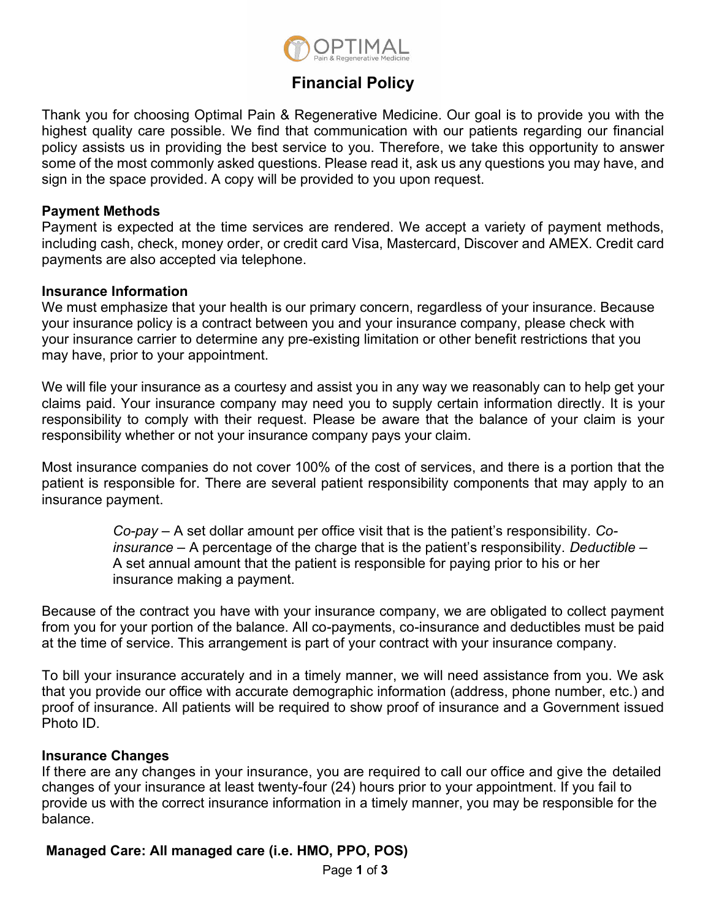

# **Financial Policy**

Thank you for choosing Optimal Pain & Regenerative Medicine. Our goal is to provide you with the highest quality care possible. We find that communication with our patients regarding our financial policy assists us in providing the best service to you. Therefore, we take this opportunity to answer some of the most commonly asked questions. Please read it, ask us any questions you may have, and sign in the space provided. A copy will be provided to you upon request.

#### **Payment Methods**

Payment is expected at the time services are rendered. We accept a variety of payment methods, including cash, check, money order, or credit card Visa, Mastercard, Discover and AMEX. Credit card payments are also accepted via telephone.

#### **Insurance Information**

We must emphasize that your health is our primary concern, regardless of your insurance. Because your insurance policy is a contract between you and your insurance company, please check with your insurance carrier to determine any pre-existing limitation or other benefit restrictions that you may have, prior to your appointment.

We will file your insurance as a courtesy and assist you in any way we reasonably can to help get your claims paid. Your insurance company may need you to supply certain information directly. It is your responsibility to comply with their request. Please be aware that the balance of your claim is your responsibility whether or not your insurance company pays your claim.

Most insurance companies do not cover 100% of the cost of services, and there is a portion that the patient is responsible for. There are several patient responsibility components that may apply to an insurance payment.

> *Co-pay* – A set dollar amount per office visit that is the patient's responsibility. *Coinsurance* – A percentage of the charge that is the patient's responsibility. *Deductible* – A set annual amount that the patient is responsible for paying prior to his or her insurance making a payment.

Because of the contract you have with your insurance company, we are obligated to collect payment from you for your portion of the balance. All co-payments, co-insurance and deductibles must be paid at the time of service. This arrangement is part of your contract with your insurance company.

To bill your insurance accurately and in a timely manner, we will need assistance from you. We ask that you provide our office with accurate demographic information (address, phone number, etc.) and proof of insurance. All patients will be required to show proof of insurance and a Government issued Photo ID.

#### **Insurance Changes**

If there are any changes in your insurance, you are required to call our office and give the detailed changes of your insurance at least twenty-four (24) hours prior to your appointment. If you fail to provide us with the correct insurance information in a timely manner, you may be responsible for the balance.

# **Managed Care: All managed care (i.e. HMO, PPO, POS)**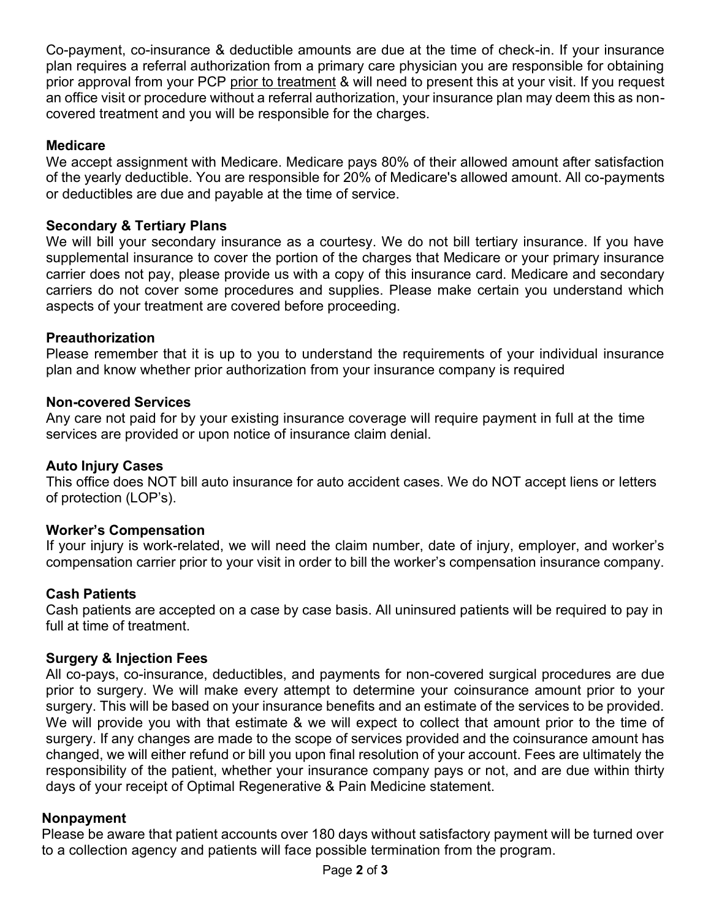Co-payment, co-insurance & deductible amounts are due at the time of check-in. If your insurance plan requires a referral authorization from a primary care physician you are responsible for obtaining prior approval from your PCP prior to treatment & will need to present this at your visit. If you request an office visit or procedure without a referral authorization, your insurance plan may deem this as noncovered treatment and you will be responsible for the charges.

# **Medicare**

We accept assignment with Medicare. Medicare pays 80% of their allowed amount after satisfaction of the yearly deductible. You are responsible for 20% of Medicare's allowed amount. All co-payments or deductibles are due and payable at the time of service.

# **Secondary & Tertiary Plans**

We will bill your secondary insurance as a courtesy. We do not bill tertiary insurance. If you have supplemental insurance to cover the portion of the charges that Medicare or your primary insurance carrier does not pay, please provide us with a copy of this insurance card. Medicare and secondary carriers do not cover some procedures and supplies. Please make certain you understand which aspects of your treatment are covered before proceeding.

# **Preauthorization**

Please remember that it is up to you to understand the requirements of your individual insurance plan and know whether prior authorization from your insurance company is required

# **Non-covered Services**

Any care not paid for by your existing insurance coverage will require payment in full at the time services are provided or upon notice of insurance claim denial.

# **Auto Injury Cases**

This office does NOT bill auto insurance for auto accident cases. We do NOT accept liens or letters of protection (LOP's).

# **Worker's Compensation**

If your injury is work-related, we will need the claim number, date of injury, employer, and worker's compensation carrier prior to your visit in order to bill the worker's compensation insurance company.

# **Cash Patients**

Cash patients are accepted on a case by case basis. All uninsured patients will be required to pay in full at time of treatment.

# **Surgery & Injection Fees**

All co-pays, co-insurance, deductibles, and payments for non-covered surgical procedures are due prior to surgery. We will make every attempt to determine your coinsurance amount prior to your surgery. This will be based on your insurance benefits and an estimate of the services to be provided. We will provide you with that estimate & we will expect to collect that amount prior to the time of surgery. If any changes are made to the scope of services provided and the coinsurance amount has changed, we will either refund or bill you upon final resolution of your account. Fees are ultimately the responsibility of the patient, whether your insurance company pays or not, and are due within thirty days of your receipt of Optimal Regenerative & Pain Medicine statement.

# **Nonpayment**

Please be aware that patient accounts over 180 days without satisfactory payment will be turned over to a collection agency and patients will face possible termination from the program.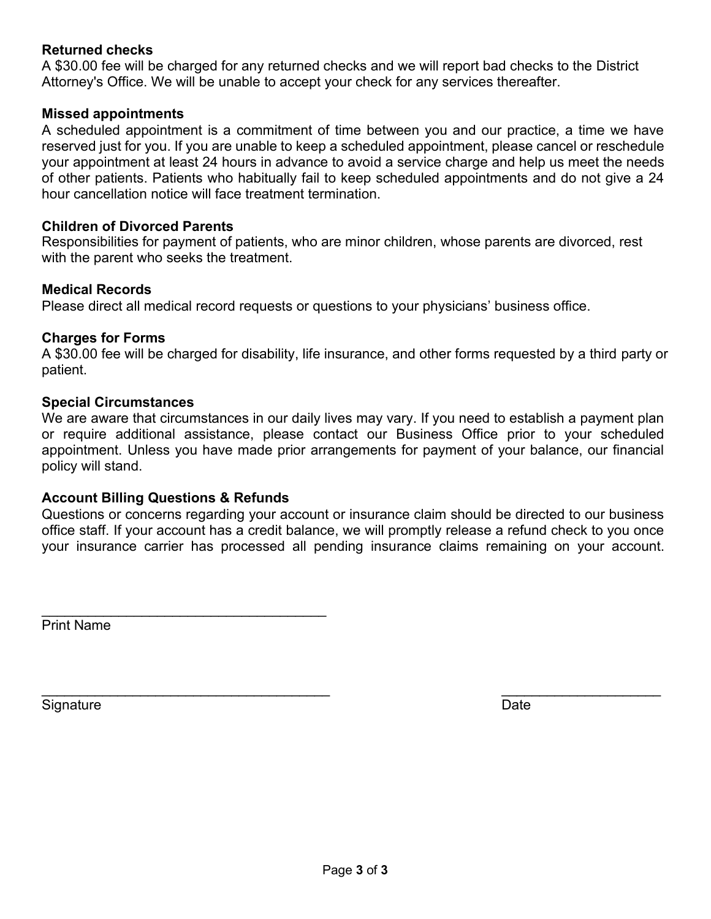#### **Returned checks**

A \$30.00 fee will be charged for any returned checks and we will report bad checks to the District Attorney's Office. We will be unable to accept your check for any services thereafter.

#### **Missed appointments**

A scheduled appointment is a commitment of time between you and our practice, a time we have reserved just for you. If you are unable to keep a scheduled appointment, please cancel or reschedule your appointment at least 24 hours in advance to avoid a service charge and help us meet the needs of other patients. Patients who habitually fail to keep scheduled appointments and do not give a 24 hour cancellation notice will face treatment termination.

#### **Children of Divorced Parents**

Responsibilities for payment of patients, who are minor children, whose parents are divorced, rest with the parent who seeks the treatment.

#### **Medical Records**

Please direct all medical record requests or questions to your physicians' business office.

#### **Charges for Forms**

A \$30.00 fee will be charged for disability, life insurance, and other forms requested by a third party or patient.

#### **Special Circumstances**

We are aware that circumstances in our daily lives may vary. If you need to establish a payment plan or require additional assistance, please contact our Business Office prior to your scheduled appointment. Unless you have made prior arrangements for payment of your balance, our financial policy will stand.

# **Account Billing Questions & Refunds**

 $\overline{\phantom{a}}$  , where the contract of the contract of the contract of the contract of the contract of the contract of the contract of the contract of the contract of the contract of the contract of the contract of the contr

Questions or concerns regarding your account or insurance claim should be directed to our business office staff. If your account has a credit balance, we will promptly release a refund check to you once your insurance carrier has processed all pending insurance claims remaining on your account.

Print Name

Signature Date **Date** 

 $\overline{\phantom{a}}$  , and the contribution of the contribution of the contribution of the contribution of the contribution of the contribution of the contribution of the contribution of the contribution of the contribution of the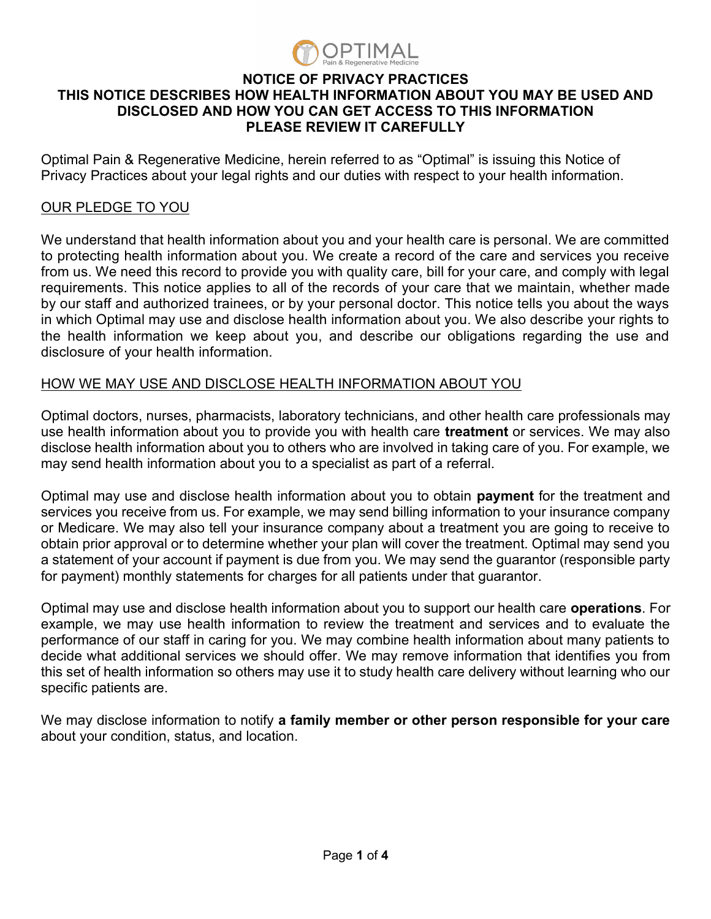

# **NOTICE OF PRIVACY PRACTICES THIS NOTICE DESCRIBES HOW HEALTH INFORMATION ABOUT YOU MAY BE USED AND DISCLOSED AND HOW YOU CAN GET ACCESS TO THIS INFORMATION PLEASE REVIEW IT CAREFULLY**

Optimal Pain & Regenerative Medicine, herein referred to as "Optimal" is issuing this Notice of Privacy Practices about your legal rights and our duties with respect to your health information.

# OUR PLEDGE TO YOU

We understand that health information about you and your health care is personal. We are committed to protecting health information about you. We create a record of the care and services you receive from us. We need this record to provide you with quality care, bill for your care, and comply with legal requirements. This notice applies to all of the records of your care that we maintain, whether made by our staff and authorized trainees, or by your personal doctor. This notice tells you about the ways in which Optimal may use and disclose health information about you. We also describe your rights to the health information we keep about you, and describe our obligations regarding the use and disclosure of your health information.

# HOW WE MAY USE AND DISCLOSE HEALTH INFORMATION ABOUT YOU

Optimal doctors, nurses, pharmacists, laboratory technicians, and other health care professionals may use health information about you to provide you with health care **treatment** or services. We may also disclose health information about you to others who are involved in taking care of you. For example, we may send health information about you to a specialist as part of a referral.

Optimal may use and disclose health information about you to obtain **payment** for the treatment and services you receive from us. For example, we may send billing information to your insurance company or Medicare. We may also tell your insurance company about a treatment you are going to receive to obtain prior approval or to determine whether your plan will cover the treatment. Optimal may send you a statement of your account if payment is due from you. We may send the guarantor (responsible party for payment) monthly statements for charges for all patients under that guarantor.

Optimal may use and disclose health information about you to support our health care **operations**. For example, we may use health information to review the treatment and services and to evaluate the performance of our staff in caring for you. We may combine health information about many patients to decide what additional services we should offer. We may remove information that identifies you from this set of health information so others may use it to study health care delivery without learning who our specific patients are.

We may disclose information to notify **a family member or other person responsible for your care**  about your condition, status, and location.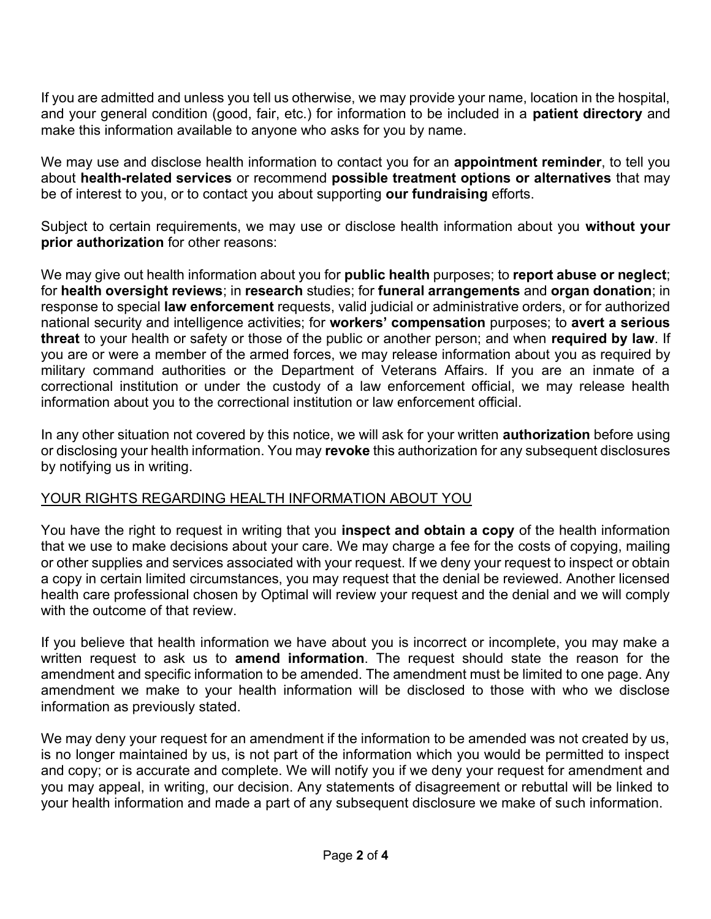If you are admitted and unless you tell us otherwise, we may provide your name, location in the hospital, and your general condition (good, fair, etc.) for information to be included in a **patient directory** and make this information available to anyone who asks for you by name.

We may use and disclose health information to contact you for an **appointment reminder**, to tell you about **health-related services** or recommend **possible treatment options or alternatives** that may be of interest to you, or to contact you about supporting **our fundraising** efforts.

Subject to certain requirements, we may use or disclose health information about you **without your prior authorization** for other reasons:

We may give out health information about you for **public health** purposes; to **report abuse or neglect**; for **health oversight reviews**; in **research** studies; for **funeral arrangements** and **organ donation**; in response to special **law enforcement** requests, valid judicial or administrative orders, or for authorized national security and intelligence activities; for **workers' compensation** purposes; to **avert a serious threat** to your health or safety or those of the public or another person; and when **required by law**. If you are or were a member of the armed forces, we may release information about you as required by military command authorities or the Department of Veterans Affairs. If you are an inmate of a correctional institution or under the custody of a law enforcement official, we may release health information about you to the correctional institution or law enforcement official.

In any other situation not covered by this notice, we will ask for your written **authorization** before using or disclosing your health information. You may **revoke** this authorization for any subsequent disclosures by notifying us in writing.

# YOUR RIGHTS REGARDING HEALTH INFORMATION ABOUT YOU

You have the right to request in writing that you **inspect and obtain a copy** of the health information that we use to make decisions about your care. We may charge a fee for the costs of copying, mailing or other supplies and services associated with your request. If we deny your request to inspect or obtain a copy in certain limited circumstances, you may request that the denial be reviewed. Another licensed health care professional chosen by Optimal will review your request and the denial and we will comply with the outcome of that review.

If you believe that health information we have about you is incorrect or incomplete, you may make a written request to ask us to **amend information**. The request should state the reason for the amendment and specific information to be amended. The amendment must be limited to one page. Any amendment we make to your health information will be disclosed to those with who we disclose information as previously stated.

We may deny your request for an amendment if the information to be amended was not created by us, is no longer maintained by us, is not part of the information which you would be permitted to inspect and copy; or is accurate and complete. We will notify you if we deny your request for amendment and you may appeal, in writing, our decision. Any statements of disagreement or rebuttal will be linked to your health information and made a part of any subsequent disclosure we make of such information.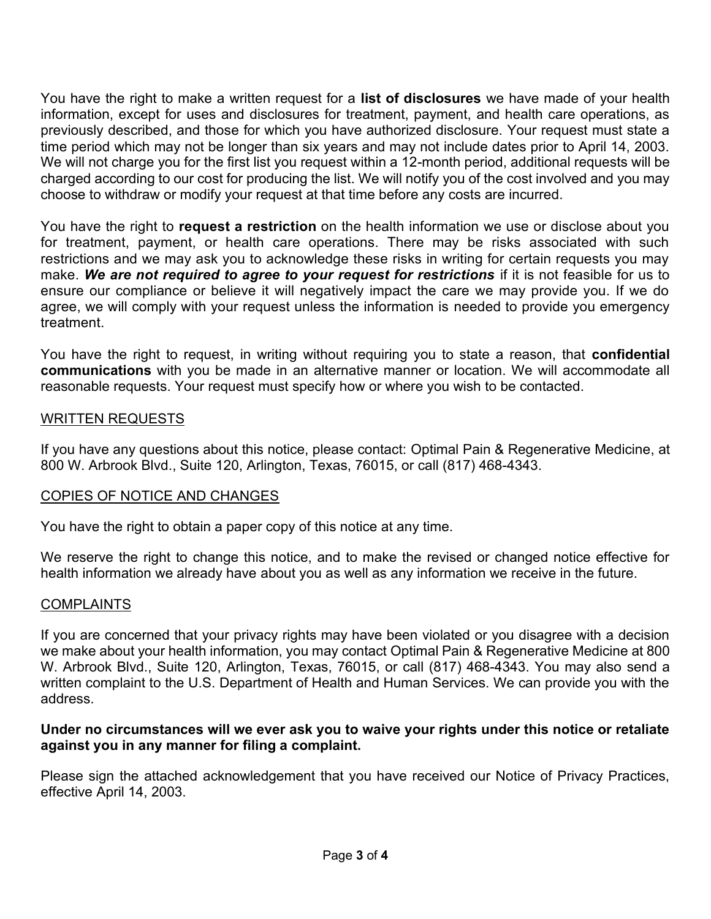You have the right to make a written request for a **list of disclosures** we have made of your health information, except for uses and disclosures for treatment, payment, and health care operations, as previously described, and those for which you have authorized disclosure. Your request must state a time period which may not be longer than six years and may not include dates prior to April 14, 2003. We will not charge you for the first list you request within a 12-month period, additional requests will be charged according to our cost for producing the list. We will notify you of the cost involved and you may choose to withdraw or modify your request at that time before any costs are incurred.

You have the right to **request a restriction** on the health information we use or disclose about you for treatment, payment, or health care operations. There may be risks associated with such restrictions and we may ask you to acknowledge these risks in writing for certain requests you may make. We are not required to agree to your request for restrictions if it is not feasible for us to ensure our compliance or believe it will negatively impact the care we may provide you. If we do agree, we will comply with your request unless the information is needed to provide you emergency treatment.

You have the right to request, in writing without requiring you to state a reason, that **confidential communications** with you be made in an alternative manner or location. We will accommodate all reasonable requests. Your request must specify how or where you wish to be contacted.

# WRITTEN REQUESTS

If you have any questions about this notice, please contact: Optimal Pain & Regenerative Medicine, at 800 W. Arbrook Blvd., Suite 120, Arlington, Texas, 76015, or call (817) 468-4343.

# COPIES OF NOTICE AND CHANGES

You have the right to obtain a paper copy of this notice at any time.

We reserve the right to change this notice, and to make the revised or changed notice effective for health information we already have about you as well as any information we receive in the future.

# COMPLAINTS

If you are concerned that your privacy rights may have been violated or you disagree with a decision we make about your health information, you may contact Optimal Pain & Regenerative Medicine at 800 W. Arbrook Blvd., Suite 120, Arlington, Texas, 76015, or call (817) 468-4343. You may also send a written complaint to the U.S. Department of Health and Human Services. We can provide you with the address.

# **Under no circumstances will we ever ask you to waive your rights under this notice or retaliate against you in any manner for filing a complaint.**

Please sign the attached acknowledgement that you have received our Notice of Privacy Practices, effective April 14, 2003.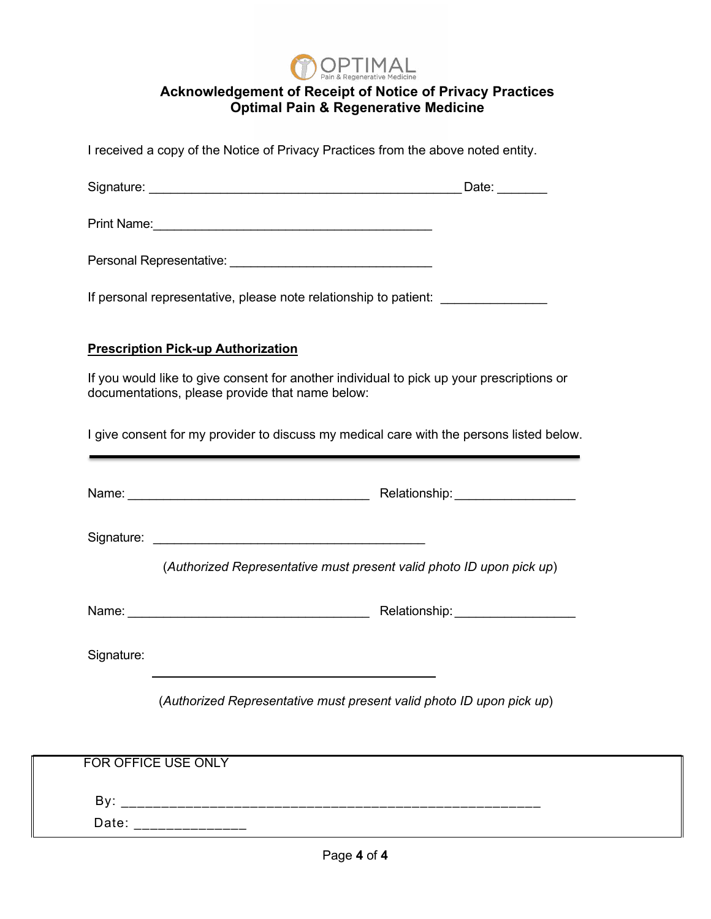

# **Acknowledgement of Receipt of Notice of Privacy Practices Optimal Pain & Regenerative Medicine**

I received a copy of the Notice of Privacy Practices from the above noted entity.

| Signature: | Date: |
|------------|-------|
|            |       |

Print Name:\_\_\_\_\_\_\_\_\_\_\_\_\_\_\_\_\_\_\_\_\_\_\_\_\_\_\_\_\_\_\_\_\_\_\_\_\_\_\_\_

Personal Representative: \_\_\_\_\_\_\_\_\_\_\_\_\_\_\_\_\_\_\_\_\_\_\_\_\_\_\_\_\_

If personal representative, please note relationship to patient:

#### **Prescription Pick-up Authorization**

If you would like to give consent for another individual to pick up your prescriptions or documentations, please provide that name below:

I give consent for my provider to discuss my medical care with the persons listed below.

|            | Relationship: ____________________                                   |
|------------|----------------------------------------------------------------------|
|            |                                                                      |
|            | (Authorized Representative must present valid photo ID upon pick up) |
|            | Relationship: ____________________                                   |
| Signature: |                                                                      |
|            | (Authorized Representative must present valid photo ID upon pick up) |
|            |                                                                      |
|            | FOR OFFICE USE ONLY                                                  |
|            |                                                                      |
| Date:      |                                                                      |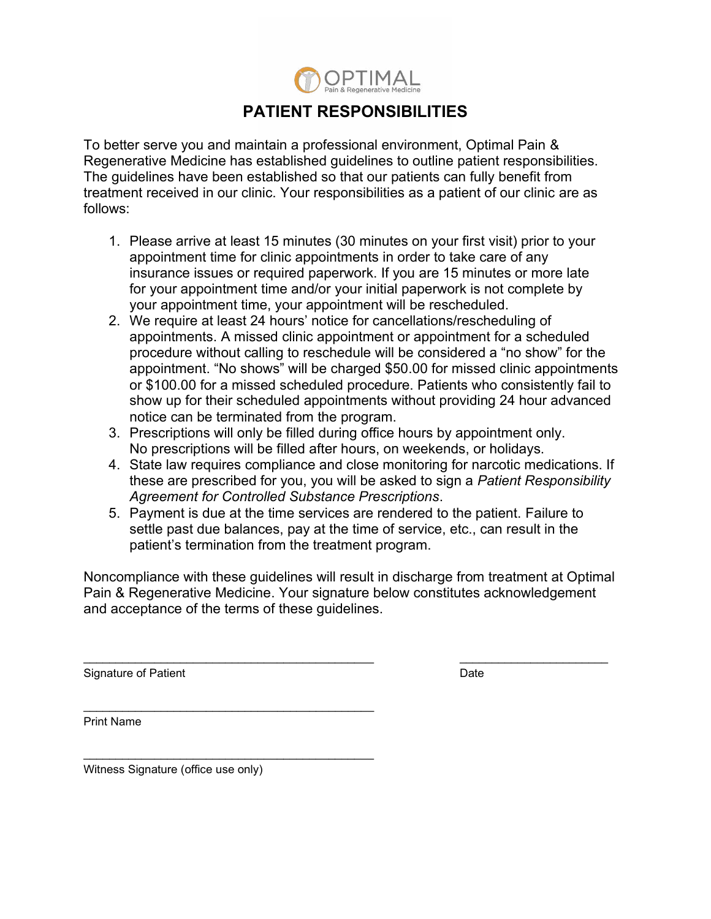

# **PATIENT RESPONSIBILITIES**

To better serve you and maintain a professional environment, Optimal Pain & Regenerative Medicine has established guidelines to outline patient responsibilities. The guidelines have been established so that our patients can fully benefit from treatment received in our clinic. Your responsibilities as a patient of our clinic are as follows:

- 1. Please arrive at least 15 minutes (30 minutes on your first visit) prior to your appointment time for clinic appointments in order to take care of any insurance issues or required paperwork. If you are 15 minutes or more late for your appointment time and/or your initial paperwork is not complete by your appointment time, your appointment will be rescheduled.
- 2. We require at least 24 hours' notice for cancellations/rescheduling of appointments. A missed clinic appointment or appointment for a scheduled procedure without calling to reschedule will be considered a "no show" for the appointment. "No shows" will be charged \$50.00 for missed clinic appointments or \$100.00 for a missed scheduled procedure. Patients who consistently fail to show up for their scheduled appointments without providing 24 hour advanced notice can be terminated from the program.
- 3. Prescriptions will only be filled during office hours by appointment only. No prescriptions will be filled after hours, on weekends, or holidays.
- 4. State law requires compliance and close monitoring for narcotic medications. If these are prescribed for you, you will be asked to sign a *Patient Responsibility Agreement for Controlled Substance Prescriptions*.
- 5. Payment is due at the time services are rendered to the patient. Failure to settle past due balances, pay at the time of service, etc., can result in the patient's termination from the treatment program.

Noncompliance with these guidelines will result in discharge from treatment at Optimal Pain & Regenerative Medicine. Your signature below constitutes acknowledgement and acceptance of the terms of these guidelines.

 $\_$  ,  $\_$  ,  $\_$  ,  $\_$  ,  $\_$  ,  $\_$  ,  $\_$  ,  $\_$  ,  $\_$  ,  $\_$  ,  $\_$  ,  $\_$  ,  $\_$  ,  $\_$  ,  $\_$  ,  $\_$  ,  $\_$  ,  $\_$  ,  $\_$  ,  $\_$ 

Signature of Patient **Date** 

Print Name

Witness Signature (office use only)

\_\_\_\_\_\_\_\_\_\_\_\_\_\_\_\_\_\_\_\_\_\_\_\_\_\_\_\_\_\_\_\_\_\_\_\_\_\_\_\_\_\_\_\_\_

\_\_\_\_\_\_\_\_\_\_\_\_\_\_\_\_\_\_\_\_\_\_\_\_\_\_\_\_\_\_\_\_\_\_\_\_\_\_\_\_\_\_\_\_\_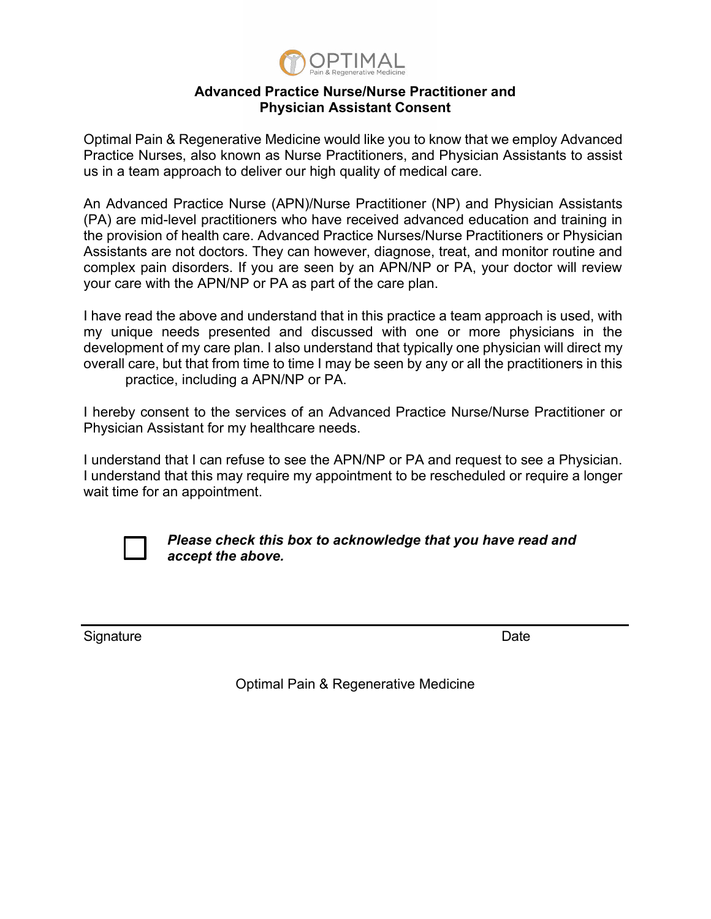

#### **Advanced Practice Nurse/Nurse Practitioner and Physician Assistant Consent**

Optimal Pain & Regenerative Medicine would like you to know that we employ Advanced Practice Nurses, also known as Nurse Practitioners, and Physician Assistants to assist us in a team approach to deliver our high quality of medical care.

An Advanced Practice Nurse (APN)/Nurse Practitioner (NP) and Physician Assistants (PA) are mid-level practitioners who have received advanced education and training in the provision of health care. Advanced Practice Nurses/Nurse Practitioners or Physician Assistants are not doctors. They can however, diagnose, treat, and monitor routine and complex pain disorders. If you are seen by an APN/NP or PA, your doctor will review your care with the APN/NP or PA as part of the care plan.

I have read the above and understand that in this practice a team approach is used, with my unique needs presented and discussed with one or more physicians in the development of my care plan. I also understand that typically one physician will direct my overall care, but that from time to time I may be seen by any or all the practitioners in this practice, including a APN/NP or PA.

I hereby consent to the services of an Advanced Practice Nurse/Nurse Practitioner or Physician Assistant for my healthcare needs.

I understand that I can refuse to see the APN/NP or PA and request to see a Physician. I understand that this may require my appointment to be rescheduled or require a longer wait time for an appointment.



*Please check this box to acknowledge that you have read and accept the above.* 

Signature Date **Date** 

Optimal Pain & Regenerative Medicine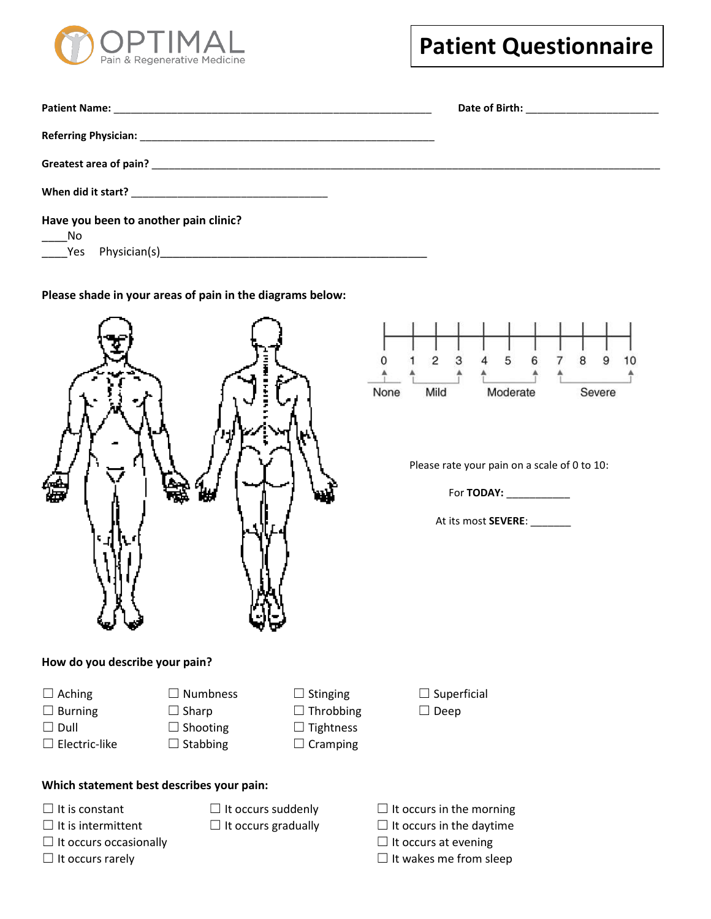

| Have you been to another pain clinic?<br>$\frac{N_0}{\gamma_{\text{es}}}$ |  |
|---------------------------------------------------------------------------|--|

**Please shade in your areas of pain in the diagrams below:** 



 $\overline{c}$ 3 5 6 7 8  $\mathbf{Q}$  $10$ 0 4 Moderate None Mild Severe

Please rate your pain on a scale of 0 to 10:

For **TODAY:** \_\_\_\_\_\_\_\_\_\_\_

At its most **SEVERE**: \_\_\_\_\_\_\_

**How do you describe your pain?** 

☐ Aching ☐ Numbness ☐ Stinging ☐ Superficial

- 
- 
- ☐ Electric-like ☐ Stabbing ☐ Cramping
- 
- ☐ Dull ☐ Shooting ☐ Tightness
	-
- 
- 

- **Which statement best describes your pain:**
- 
- 
- ☐ It occurs occasionally ☐ It occurs at evening
	-
- $□$  It is constant  $□$  It occurs suddenly  $□$  It occurs in the morning
- ☐ It is intermittent ☐ It occurs gradually ☐ It occurs in the daytime
	-
- ☐ It occurs rarely ☐ It wakes me from sleep
- 
- 
- ☐ Burning ☐ Sharp ☐ Throbbing ☐ Deep
-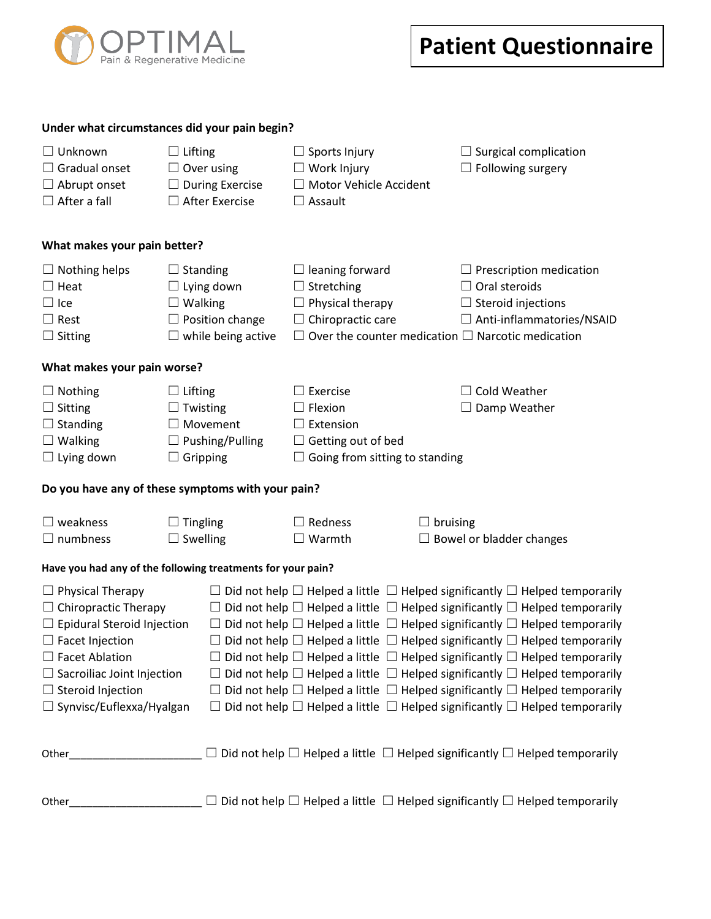

| Under what circumstances did your pain begin? |
|-----------------------------------------------|
|-----------------------------------------------|

| $\Box$ Unknown<br>$\Box$ Lifting                            |                           | $\Box$ Sports Injury                  | $\Box$ Surgical complication                                                                     |  |  |  |  |
|-------------------------------------------------------------|---------------------------|---------------------------------------|--------------------------------------------------------------------------------------------------|--|--|--|--|
| $\Box$ Gradual onset                                        | $\Box$ Over using         | $\Box$ Work Injury                    | $\Box$ Following surgery                                                                         |  |  |  |  |
| $\Box$ Abrupt onset                                         | $\Box$ During Exercise    | □ Motor Vehicle Accident              |                                                                                                  |  |  |  |  |
| $\Box$ After a fall                                         | $\Box$ After Exercise     | $\Box$ Assault                        |                                                                                                  |  |  |  |  |
| What makes your pain better?                                |                           |                                       |                                                                                                  |  |  |  |  |
| $\Box$ Nothing helps                                        | $\Box$ Standing           | $\Box$ leaning forward                | $\Box$ Prescription medication                                                                   |  |  |  |  |
| $\Box$ Heat                                                 | $\Box$ Lying down         | $\Box$ Stretching                     | $\Box$ Oral steroids                                                                             |  |  |  |  |
| $\Box$ Ice                                                  | $\Box$ Walking            | $\Box$ Physical therapy               | $\Box$ Steroid injections                                                                        |  |  |  |  |
| $\Box$ Rest                                                 | $\Box$ Position change    | $\Box$ Chiropractic care              | □ Anti-inflammatories/NSAID                                                                      |  |  |  |  |
| $\Box$ Sitting                                              | $\Box$ while being active |                                       | $\Box$ Over the counter medication $\Box$ Narcotic medication                                    |  |  |  |  |
| What makes your pain worse?                                 |                           |                                       |                                                                                                  |  |  |  |  |
| $\Box$ Nothing<br>$\Box$ Lifting                            |                           | $\Box$ Exercise                       | $\Box$ Cold Weather                                                                              |  |  |  |  |
| $\Box$ Sitting                                              | $\Box$ Twisting           | $\Box$ Flexion                        | $\Box$ Damp Weather                                                                              |  |  |  |  |
| $\Box$ Standing                                             | $\Box$ Movement           | $\Box$ Extension                      |                                                                                                  |  |  |  |  |
| $\Box$ Walking                                              | $\Box$ Pushing/Pulling    | $\Box$ Getting out of bed             |                                                                                                  |  |  |  |  |
| $\Box$ Gripping<br>$\Box$ Lying down                        |                           | $\Box$ Going from sitting to standing |                                                                                                  |  |  |  |  |
| Do you have any of these symptoms with your pain?           |                           |                                       |                                                                                                  |  |  |  |  |
| $\Box$ weakness                                             | $\Box$ Tingling           | $\Box$ Redness                        | $\Box$ bruising                                                                                  |  |  |  |  |
| $\Box$ numbness                                             | $\Box$ Swelling           | $\Box$ Warmth                         | $\Box$ Bowel or bladder changes                                                                  |  |  |  |  |
| Have you had any of the following treatments for your pain? |                           |                                       |                                                                                                  |  |  |  |  |
| $\Box$ Physical Therapy                                     |                           |                                       | $\Box$ Did not help $\Box$ Helped a little $\Box$ Helped significantly $\Box$ Helped temporarily |  |  |  |  |
| $\Box$ Chiropractic Therapy                                 |                           |                                       | $\Box$ Did not help $\Box$ Helped a little $\Box$ Helped significantly $\Box$ Helped temporarily |  |  |  |  |
| $\Box$ Epidural Steroid Injection                           |                           |                                       | $\Box$ Did not help $\Box$ Helped a little $\Box$ Helped significantly $\Box$ Helped temporarily |  |  |  |  |
| $\Box$ Facet Injection                                      |                           |                                       | $\Box$ Did not help $\Box$ Helped a little $\Box$ Helped significantly $\Box$ Helped temporarily |  |  |  |  |
| $\Box$ Facet Ablation                                       |                           |                                       | Did not help $\Box$ Helped a little $\Box$ Helped significantly $\Box$ Helped temporarily        |  |  |  |  |
| $\Box$ Sacroiliac Joint Injection                           |                           |                                       | $\Box$ Did not help $\Box$ Helped a little $\Box$ Helped significantly $\Box$ Helped temporarily |  |  |  |  |
| $\Box$ Steroid Injection                                    |                           |                                       | $\Box$ Did not help $\Box$ Helped a little $\Box$ Helped significantly $\Box$ Helped temporarily |  |  |  |  |
| $\Box$ Synvisc/Euflexxa/Hyalgan                             |                           |                                       | $\Box$ Did not help $\Box$ Helped a little $\Box$ Helped significantly $\Box$ Helped temporarily |  |  |  |  |
| Other_                                                      |                           |                                       | $\Box$ Did not help $\Box$ Helped a little $\Box$ Helped significantly $\Box$ Helped temporarily |  |  |  |  |
|                                                             |                           |                                       |                                                                                                  |  |  |  |  |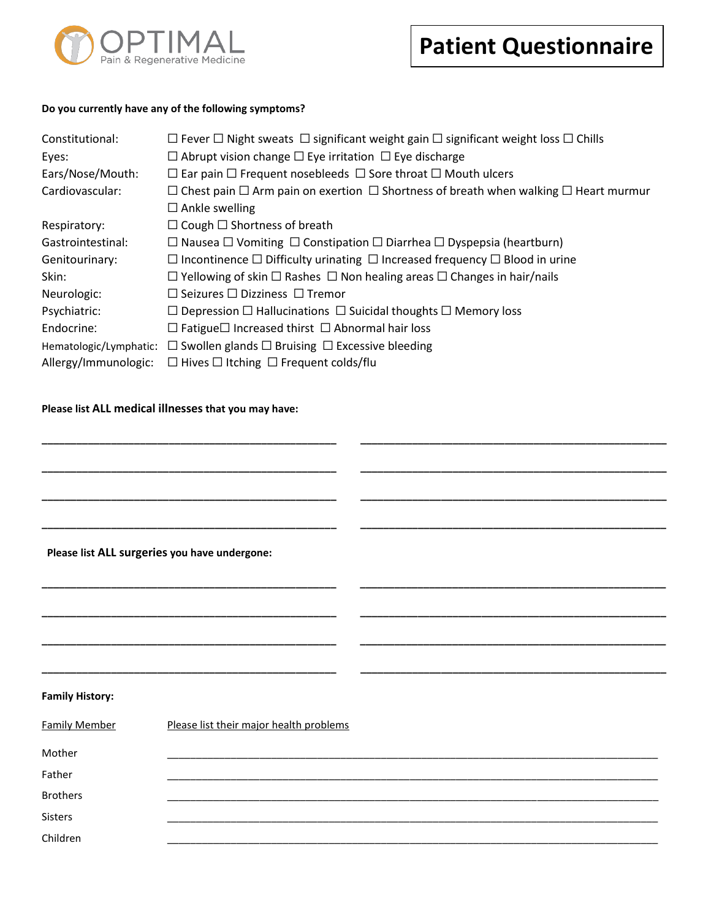

#### **Do you currently have any of the following symptoms?**

| Constitutional:        | $\Box$ Fever $\Box$ Night sweats $\Box$ significant weight gain $\Box$ significant weight loss $\Box$ Chills |
|------------------------|--------------------------------------------------------------------------------------------------------------|
| Eyes:                  | $\Box$ Abrupt vision change $\Box$ Eye irritation $\Box$ Eye discharge                                       |
| Ears/Nose/Mouth:       | $\Box$ Ear pain $\Box$ Frequent nosebleeds $\Box$ Sore throat $\Box$ Mouth ulcers                            |
| Cardiovascular:        | $\Box$ Chest pain $\Box$ Arm pain on exertion $\Box$ Shortness of breath when walking $\Box$ Heart murmur    |
|                        | $\Box$ Ankle swelling                                                                                        |
| Respiratory:           | $\Box$ Cough $\Box$ Shortness of breath                                                                      |
| Gastrointestinal:      | $\Box$ Nausea $\Box$ Vomiting $\Box$ Constipation $\Box$ Diarrhea $\Box$ Dyspepsia (heartburn)               |
| Genitourinary:         | $\Box$ Incontinence $\Box$ Difficulty urinating $\Box$ Increased frequency $\Box$ Blood in urine             |
| Skin:                  | $\Box$ Yellowing of skin $\Box$ Rashes $\Box$ Non healing areas $\Box$ Changes in hair/nails                 |
| Neurologic:            | $\Box$ Seizures $\Box$ Dizziness $\Box$ Tremor                                                               |
| Psychiatric:           | $\Box$ Depression $\Box$ Hallucinations $\Box$ Suicidal thoughts $\Box$ Memory loss                          |
| Endocrine:             | $\Box$ Fatigue $\Box$ Increased thirst $\Box$ Abnormal hair loss                                             |
| Hematologic/Lymphatic: | $\Box$ Swollen glands $\Box$ Bruising $\Box$ Excessive bleeding                                              |
| Allergy/Immunologic:   | $\Box$ Hives $\Box$ Itching $\Box$ Frequent colds/flu                                                        |

**\_\_\_\_\_\_\_\_\_\_\_\_\_\_\_\_\_\_\_\_\_\_\_\_\_\_\_\_\_\_\_\_\_\_\_\_\_\_\_\_\_\_\_\_\_\_\_\_\_\_\_ \_\_\_\_\_\_\_\_\_\_\_\_\_\_\_\_\_\_\_\_\_\_\_\_\_\_\_\_\_\_\_\_\_\_\_\_\_\_\_\_\_\_\_\_\_\_\_\_\_\_\_\_\_**

**\_\_\_\_\_\_\_\_\_\_\_\_\_\_\_\_\_\_\_\_\_\_\_\_\_\_\_\_\_\_\_\_\_\_\_\_\_\_\_\_\_\_\_\_\_\_\_\_\_\_\_ \_\_\_\_\_\_\_\_\_\_\_\_\_\_\_\_\_\_\_\_\_\_\_\_\_\_\_\_\_\_\_\_\_\_\_\_\_\_\_\_\_\_\_\_\_\_\_\_\_\_\_\_\_**

**\_\_\_\_\_\_\_\_\_\_\_\_\_\_\_\_\_\_\_\_\_\_\_\_\_\_\_\_\_\_\_\_\_\_\_\_\_\_\_\_\_\_\_\_\_\_\_\_\_\_\_ \_\_\_\_\_\_\_\_\_\_\_\_\_\_\_\_\_\_\_\_\_\_\_\_\_\_\_\_\_\_\_\_\_\_\_\_\_\_\_\_\_\_\_\_\_\_\_\_\_\_\_\_\_**

**\_\_\_\_\_\_\_\_\_\_\_\_\_\_\_\_\_\_\_\_\_\_\_\_\_\_\_\_\_\_\_\_\_\_\_\_\_\_\_\_\_\_\_\_\_\_\_\_\_\_\_ \_\_\_\_\_\_\_\_\_\_\_\_\_\_\_\_\_\_\_\_\_\_\_\_\_\_\_\_\_\_\_\_\_\_\_\_\_\_\_\_\_\_\_\_\_\_\_\_\_\_\_\_\_** 

**\_\_\_\_\_\_\_\_\_\_\_\_\_\_\_\_\_\_\_\_\_\_\_\_\_\_\_\_\_\_\_\_\_\_\_\_\_\_\_\_\_\_\_\_\_\_\_\_\_\_\_ \_\_\_\_\_\_\_\_\_\_\_\_\_\_\_\_\_\_\_\_\_\_\_\_\_\_\_\_\_\_\_\_\_\_\_\_\_\_\_\_\_\_\_\_\_\_\_\_\_\_\_\_\_** 

**\_\_\_\_\_\_\_\_\_\_\_\_\_\_\_\_\_\_\_\_\_\_\_\_\_\_\_\_\_\_\_\_\_\_\_\_\_\_\_\_\_\_\_\_\_\_\_\_\_\_\_ \_\_\_\_\_\_\_\_\_\_\_\_\_\_\_\_\_\_\_\_\_\_\_\_\_\_\_\_\_\_\_\_\_\_\_\_\_\_\_\_\_\_\_\_\_\_\_\_\_\_\_\_\_** 

**\_\_\_\_\_\_\_\_\_\_\_\_\_\_\_\_\_\_\_\_\_\_\_\_\_\_\_\_\_\_\_\_\_\_\_\_\_\_\_\_\_\_\_\_\_\_\_\_\_\_\_ \_\_\_\_\_\_\_\_\_\_\_\_\_\_\_\_\_\_\_\_\_\_\_\_\_\_\_\_\_\_\_\_\_\_\_\_\_\_\_\_\_\_\_\_\_\_\_\_\_\_\_\_\_** 

**\_\_\_\_\_\_\_\_\_\_\_\_\_\_\_\_\_\_\_\_\_\_\_\_\_\_\_\_\_\_\_\_\_\_\_\_\_\_\_\_\_\_\_\_\_\_\_\_\_\_\_ \_\_\_\_\_\_\_\_\_\_\_\_\_\_\_\_\_\_\_\_\_\_\_\_\_\_\_\_\_\_\_\_\_\_\_\_\_\_\_\_\_\_\_\_\_\_\_\_\_\_\_\_\_**

#### **Please list ALL medical illnesses that you may have:**

#### **Please list ALL surgeries you have undergone:**

#### **Family History:**

| <b>Family Member</b> | Please list their major health problems |
|----------------------|-----------------------------------------|
| Mother               |                                         |
| Father               |                                         |
| <b>Brothers</b>      |                                         |
| <b>Sisters</b>       |                                         |
| Children             |                                         |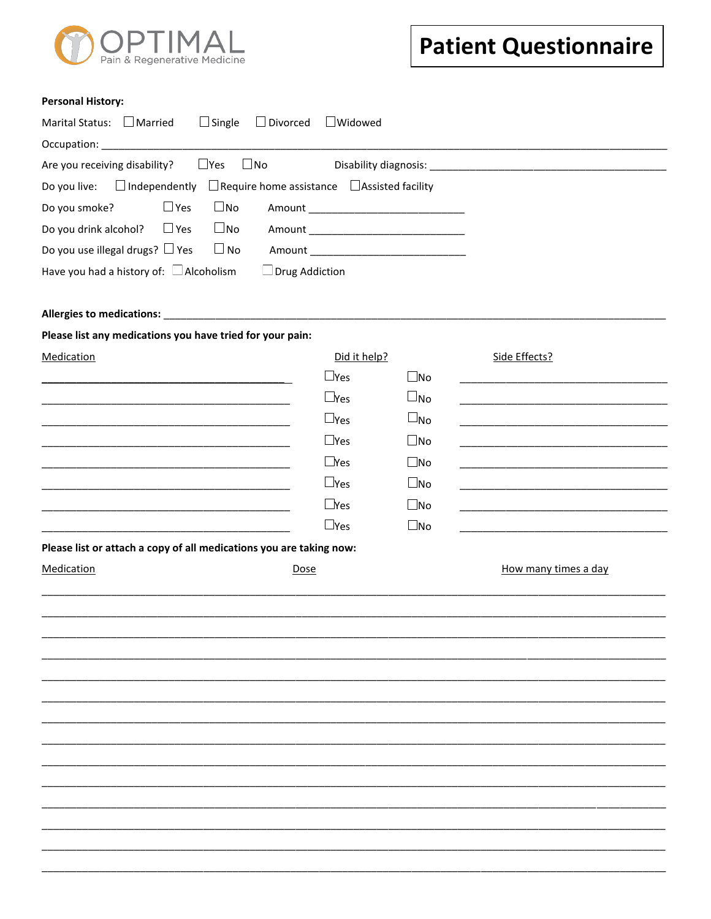

#### **Personal History:**

| Marital Status: $\Box$ Married<br>$\Box$ Single $\Box$ Divorced                                                                                                                                                                | $\Box$ Widowed |                      |                      |
|--------------------------------------------------------------------------------------------------------------------------------------------------------------------------------------------------------------------------------|----------------|----------------------|----------------------|
| Occupation: The contract of the contract of the contract of the contract of the contract of the contract of the contract of the contract of the contract of the contract of the contract of the contract of the contract of th |                |                      |                      |
| $\square$ Yes<br>$\square$ No<br>Are you receiving disability?                                                                                                                                                                 |                |                      |                      |
| Do you live: $\Box$ Independently $\Box$ Require home assistance $\Box$ Assisted facility                                                                                                                                      |                |                      |                      |
| $\Box$ Yes<br>Do you smoke?<br>$\square$ No                                                                                                                                                                                    |                |                      |                      |
| $\square$ No<br>Do you drink alcohol? $\Box$ Yes                                                                                                                                                                               |                |                      |                      |
| Do you use illegal drugs? $\Box$ Yes<br>$\Box$ No                                                                                                                                                                              |                |                      |                      |
| Have you had a history of: $\Box$ Alcoholism<br>$\Box$ Drug Addiction                                                                                                                                                          |                |                      |                      |
| Allergies to medications: Manual Allergies to medications:                                                                                                                                                                     |                |                      |                      |
| Please list any medications you have tried for your pain:                                                                                                                                                                      |                |                      |                      |
| Medication                                                                                                                                                                                                                     | Did it help?   |                      | Side Effects?        |
|                                                                                                                                                                                                                                | $\Box$ Yes     | $\square$ No         |                      |
|                                                                                                                                                                                                                                | $\sqcup$ Yes   | $\Box_{\mathsf{No}}$ |                      |
| <u> 1980 - Johann John Stone, meil er fram der format for de format for de format for de format for de format for</u>                                                                                                          | $\Box$ Yes     | $\Box_{\mathsf{No}}$ |                      |
|                                                                                                                                                                                                                                | $\Box$ Yes     | $\square$ No         |                      |
|                                                                                                                                                                                                                                | $\Box$ Yes     | $\square$ No         |                      |
| <u> 1980 - Johann John Stone, market fan it ferstjer fan it ferstjer fan it ferstjer fan it ferstjer fan it fers</u>                                                                                                           | $\Box$ Yes     | $\square$ No         |                      |
| <u> 1989 - Johann Barnett, fransk politiker (d. 1989)</u>                                                                                                                                                                      | $\Box$ Yes     | $\square$ No         |                      |
|                                                                                                                                                                                                                                | $\Box$ Yes     | $\square$ No         |                      |
| Please list or attach a copy of all medications you are taking now:                                                                                                                                                            |                |                      |                      |
| Medication<br>Dose                                                                                                                                                                                                             |                |                      | How many times a day |
|                                                                                                                                                                                                                                |                |                      |                      |
|                                                                                                                                                                                                                                |                |                      |                      |
|                                                                                                                                                                                                                                |                |                      |                      |
|                                                                                                                                                                                                                                |                |                      |                      |
|                                                                                                                                                                                                                                |                |                      |                      |
|                                                                                                                                                                                                                                |                |                      |                      |
|                                                                                                                                                                                                                                |                |                      |                      |
|                                                                                                                                                                                                                                |                |                      |                      |
|                                                                                                                                                                                                                                |                |                      |                      |
|                                                                                                                                                                                                                                |                |                      |                      |
|                                                                                                                                                                                                                                |                |                      |                      |